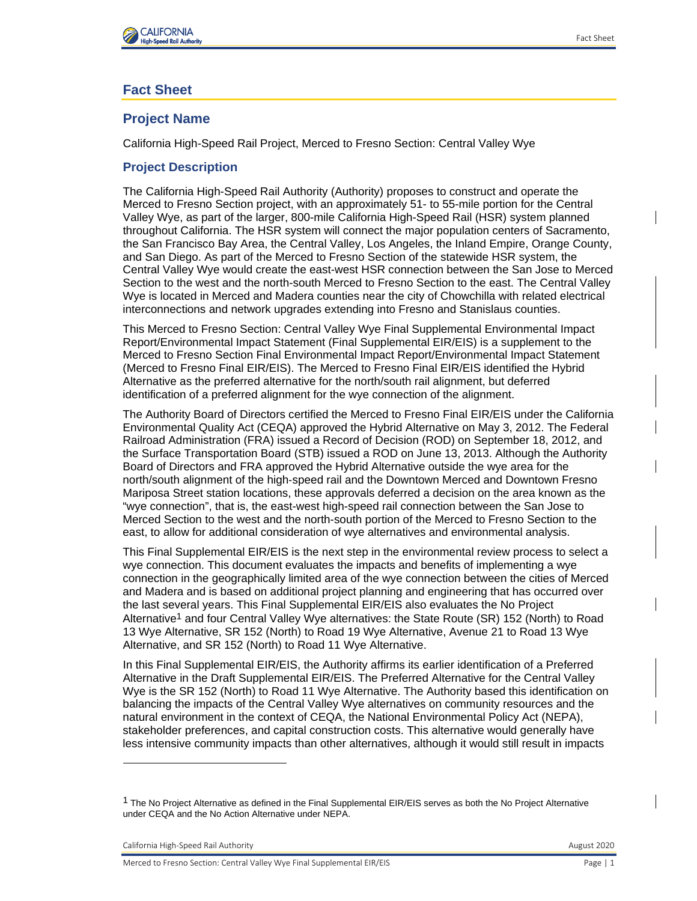

# **Fact Sheet**

# **Project Name**

California High-Speed Rail Project, Merced to Fresno Section: Central Valley Wye

## **Project Description**

The California High-Speed Rail Authority (Authority) proposes to construct and operate the Merced to Fresno Section project, with an approximately 51- to 55-mile portion for the Central Valley Wye, as part of the larger, 800-mile California High-Speed Rail (HSR) system planned throughout California. The HSR system will connect the major population centers of Sacramento, the San Francisco Bay Area, the Central Valley, Los Angeles, the Inland Empire, Orange County, and San Diego. As part of the Merced to Fresno Section of the statewide HSR system, the Central Valley Wye would create the east-west HSR connection between the San Jose to Merced Section to the west and the north-south Merced to Fresno Section to the east. The Central Valley Wye is located in Merced and Madera counties near the city of Chowchilla with related electrical interconnections and network upgrades extending into Fresno and Stanislaus counties.

This Merced to Fresno Section: Central Valley Wye Final Supplemental Environmental Impact Report/Environmental Impact Statement (Final Supplemental EIR/EIS) is a supplement to the Merced to Fresno Section Final Environmental Impact Report/Environmental Impact Statement (Merced to Fresno Final EIR/EIS). The Merced to Fresno Final EIR/EIS identified the Hybrid Alternative as the preferred alternative for the north/south rail alignment, but deferred identification of a preferred alignment for the wye connection of the alignment.

The Authority Board of Directors certified the Merced to Fresno Final EIR/EIS under the California Environmental Quality Act (CEQA) approved the Hybrid Alternative on May 3, 2012. The Federal Railroad Administration (FRA) issued a Record of Decision (ROD) on September 18, 2012, and the Surface Transportation Board (STB) issued a ROD on June 13, 2013. Although the Authority Board of Directors and FRA approved the Hybrid Alternative outside the wye area for the north/south alignment of the high‐speed rail and the Downtown Merced and Downtown Fresno Mariposa Street station locations, these approvals deferred a decision on the area known as the "wye connection", that is, the east-west high-speed rail connection between the San Jose to Merced Section to the west and the north-south portion of the Merced to Fresno Section to the east, to allow for additional consideration of wye alternatives and environmental analysis.

This Final Supplemental EIR/EIS is the next step in the environmental review process to select a wye connection. This document evaluates the impacts and benefits of implementing a wye connection in the geographically limited area of the wye connection between the cities of Merced and Madera and is based on additional project planning and engineering that has occurred over the last several years. This Final Supplemental EIR/EIS also evaluates the No Project Alternative<sup>1</sup> and four Central Valley Wye alternatives: the State Route (SR) 152 (North) to Road 13 Wye Alternative, SR 152 (North) to Road 19 Wye Alternative, Avenue 21 to Road 13 Wye Alternative, and SR 152 (North) to Road 11 Wye Alternative.

In this Final Supplemental EIR/EIS, the Authority affirms its earlier identification of a Preferred Alternative in the Draft Supplemental EIR/EIS. The Preferred Alternative for the Central Valley Wye is the SR 152 (North) to Road 11 Wye Alternative. The Authority based this identification on balancing the impacts of the Central Valley Wye alternatives on community resources and the natural environment in the context of CEQA, the National Environmental Policy Act (NEPA), stakeholder preferences, and capital construction costs. This alternative would generally have less intensive community impacts than other alternatives, although it would still result in impacts

California High-Speed Rail Authority **August 2020** California High-Speed Rail Authority

 $1$  The No Proiect Alternative as defined in the Final Supplemental EIR/EIS serves as both the No Project Alternative under CEQA and the No Action Alternative under NEPA.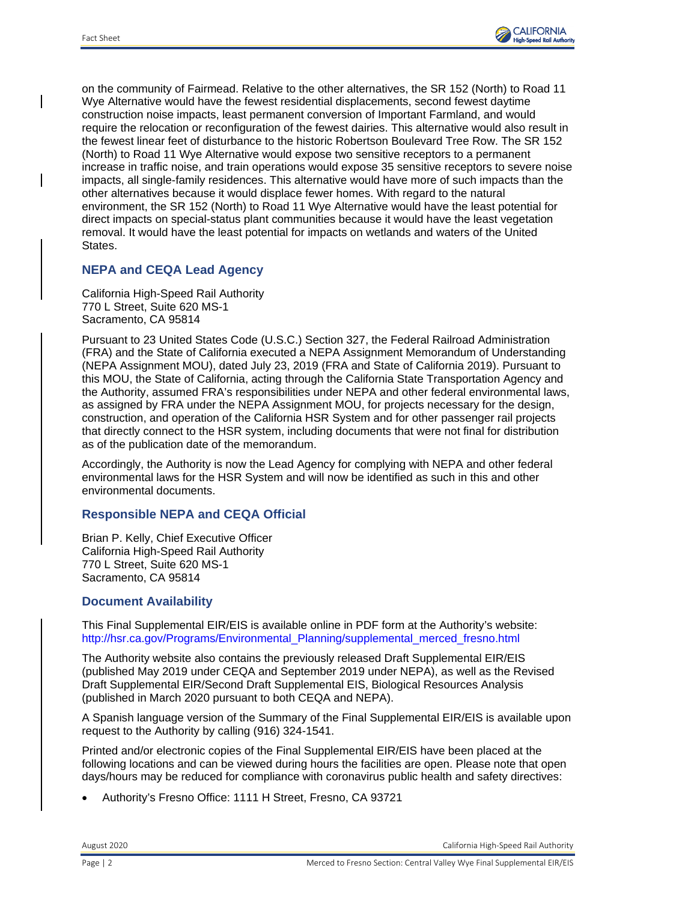

on the community of Fairmead. Relative to the other alternatives, the SR 152 (North) to Road 11 Wye Alternative would have the fewest residential displacements, second fewest daytime construction noise impacts, least permanent conversion of Important Farmland, and would require the relocation or reconfiguration of the fewest dairies. This alternative would also result in the fewest linear feet of disturbance to the historic Robertson Boulevard Tree Row. The SR 152 (North) to Road 11 Wye Alternative would expose two sensitive receptors to a permanent increase in traffic noise, and train operations would expose 35 sensitive receptors to severe noise impacts, all single-family residences. This alternative would have more of such impacts than the other alternatives because it would displace fewer homes. With regard to the natural environment, the SR 152 (North) to Road 11 Wye Alternative would have the least potential for direct impacts on special-status plant communities because it would have the least vegetation removal. It would have the least potential for impacts on wetlands and waters of the United States.

## **NEPA and CEQA Lead Agency**

California High-Speed Rail Authority 770 L Street, Suite 620 MS-1 Sacramento, CA 95814

Pursuant to 23 United States Code (U.S.C.) Section 327, the Federal Railroad Administration (FRA) and the State of California executed a NEPA Assignment Memorandum of Understanding (NEPA Assignment MOU), dated July 23, 2019 (FRA and State of California 2019). Pursuant to this MOU, the State of California, acting through the California State Transportation Agency and the Authority, assumed FRA's responsibilities under NEPA and other federal environmental laws, as assigned by FRA under the NEPA Assignment MOU, for projects necessary for the design, construction, and operation of the California HSR System and for other passenger rail projects that directly connect to the HSR system, including documents that were not final for distribution as of the publication date of the memorandum.

Accordingly, the Authority is now the Lead Agency for complying with NEPA and other federal environmental laws for the HSR System and will now be identified as such in this and other environmental documents.

#### **Responsible NEPA and CEQA Official**

Brian P. Kelly, Chief Executive Officer California High-Speed Rail Authority 770 L Street, Suite 620 MS-1 Sacramento, CA 95814

#### **Document Availability**

This Final Supplemental EIR/EIS is available online in PDF form at the Authority's website: [http://hsr.ca.gov/Programs/Environmental\\_Planning/supplemental\\_merced\\_fresno.html](http://hsr.ca.gov/Programs/Environmental_Planning/supplemental_merced_fresno.html)**.**

The Authority website also contains the previously released Draft Supplemental EIR/EIS (published May 2019 under CEQA and September 2019 under NEPA), as well as the Revised Draft Supplemental EIR/Second Draft Supplemental EIS, Biological Resources Analysis (published in March 2020 pursuant to both CEQA and NEPA).

A Spanish language version of the Summary of the Final Supplemental EIR/EIS is available upon request to the Authority by calling (916) 324-1541.

Printed and/or electronic copies of the Final Supplemental EIR/EIS have been placed at the following locations and can be viewed during hours the facilities are open. Please note that open days/hours may be reduced for compliance with coronavirus public health and safety directives:

• Authority's Fresno Office: 1111 H Street, Fresno, CA 93721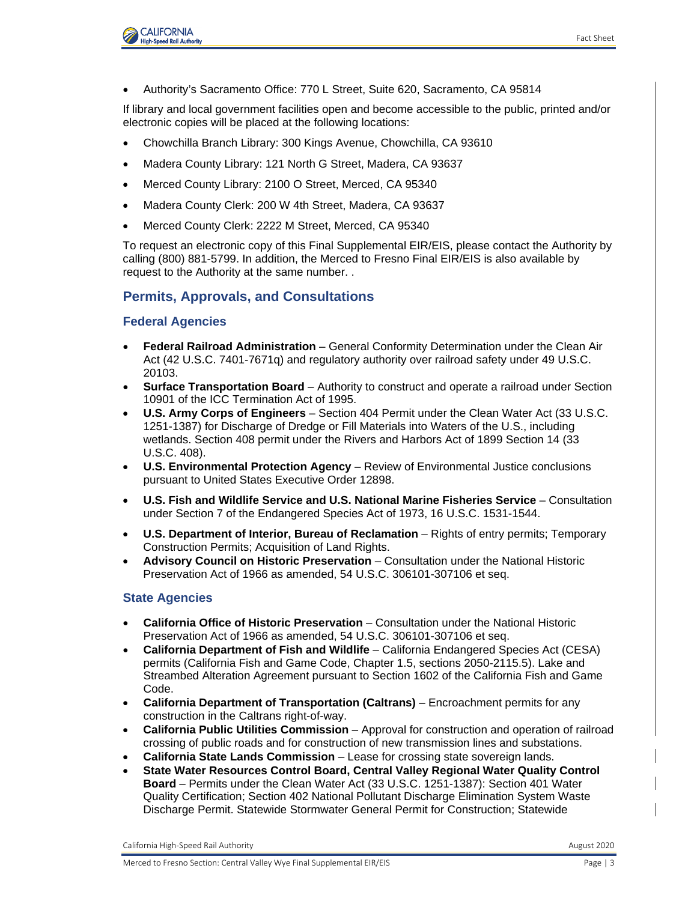

• Authority's Sacramento Office: 770 L Street, Suite 620, Sacramento, CA 95814

If library and local government facilities open and become accessible to the public, printed and/or electronic copies will be placed at the following locations:

- Chowchilla Branch Library: 300 Kings Avenue, Chowchilla, CA 93610
- Madera County Library: 121 North G Street, Madera, CA 93637
- Merced County Library: 2100 O Street, Merced, CA 95340
- Madera County Clerk: 200 W 4th Street, Madera, CA 93637
- Merced County Clerk: 2222 M Street, Merced, CA 95340

To request an electronic copy of this Final Supplemental EIR/EIS, please contact the Authority by calling (800) 881-5799. In addition, the Merced to Fresno Final EIR/EIS is also available by request to the Authority at the same number. .

## **Permits, Approvals, and Consultations**

#### **Federal Agencies**

- **Federal Railroad Administration** General Conformity Determination under the Clean Air Act (42 U.S.C. 7401-7671q) and regulatory authority over railroad safety under 49 U.S.C. 20103.
- **Surface Transportation Board** Authority to construct and operate a railroad under Section 10901 of the ICC Termination Act of 1995.
- **U.S. Army Corps of Engineers** Section 404 Permit under the Clean Water Act (33 U.S.C. 1251-1387) for Discharge of Dredge or Fill Materials into Waters of the U.S., including wetlands. Section 408 permit under the Rivers and Harbors Act of 1899 Section 14 (33 U.S.C. 408).
- **U.S. Environmental Protection Agency** Review of Environmental Justice conclusions pursuant to United States Executive Order 12898.
- **U.S. Fish and Wildlife Service and U.S. National Marine Fisheries Service** Consultation under Section 7 of the Endangered Species Act of 1973, 16 U.S.C. 1531-1544.
- **U.S. Department of Interior, Bureau of Reclamation** Rights of entry permits; Temporary Construction Permits; Acquisition of Land Rights.
- **Advisory Council on Historic Preservation** Consultation under the National Historic Preservation Act of 1966 as amended, 54 U.S.C. 306101-307106 et seq.

#### **State Agencies**

- **California Office of Historic Preservation**  Consultation under the National Historic Preservation Act of 1966 as amended, 54 U.S.C. 306101-307106 et seq.
- **California Department of Fish and Wildlife** California Endangered Species Act (CESA) permits (California Fish and Game Code, Chapter 1.5, sections 2050-2115.5). Lake and Streambed Alteration Agreement pursuant to Section 1602 of the California Fish and Game Code.
- **California Department of Transportation (Caltrans)** Encroachment permits for any construction in the Caltrans right-of-way.
- **California Public Utilities Commission** Approval for construction and operation of railroad crossing of public roads and for construction of new transmission lines and substations.
- **California State Lands Commission**  Lease for crossing state sovereign lands.
- **State Water Resources Control Board, Central Valley Regional Water Quality Control Board** – Permits under the Clean Water Act (33 U.S.C. 1251-1387): Section 401 Water Quality Certification; Section 402 National Pollutant Discharge Elimination System Waste Discharge Permit. Statewide Stormwater General Permit for Construction; Statewide

California High-Speed Rail Authority **August 2020** California High-Speed Rail Authority